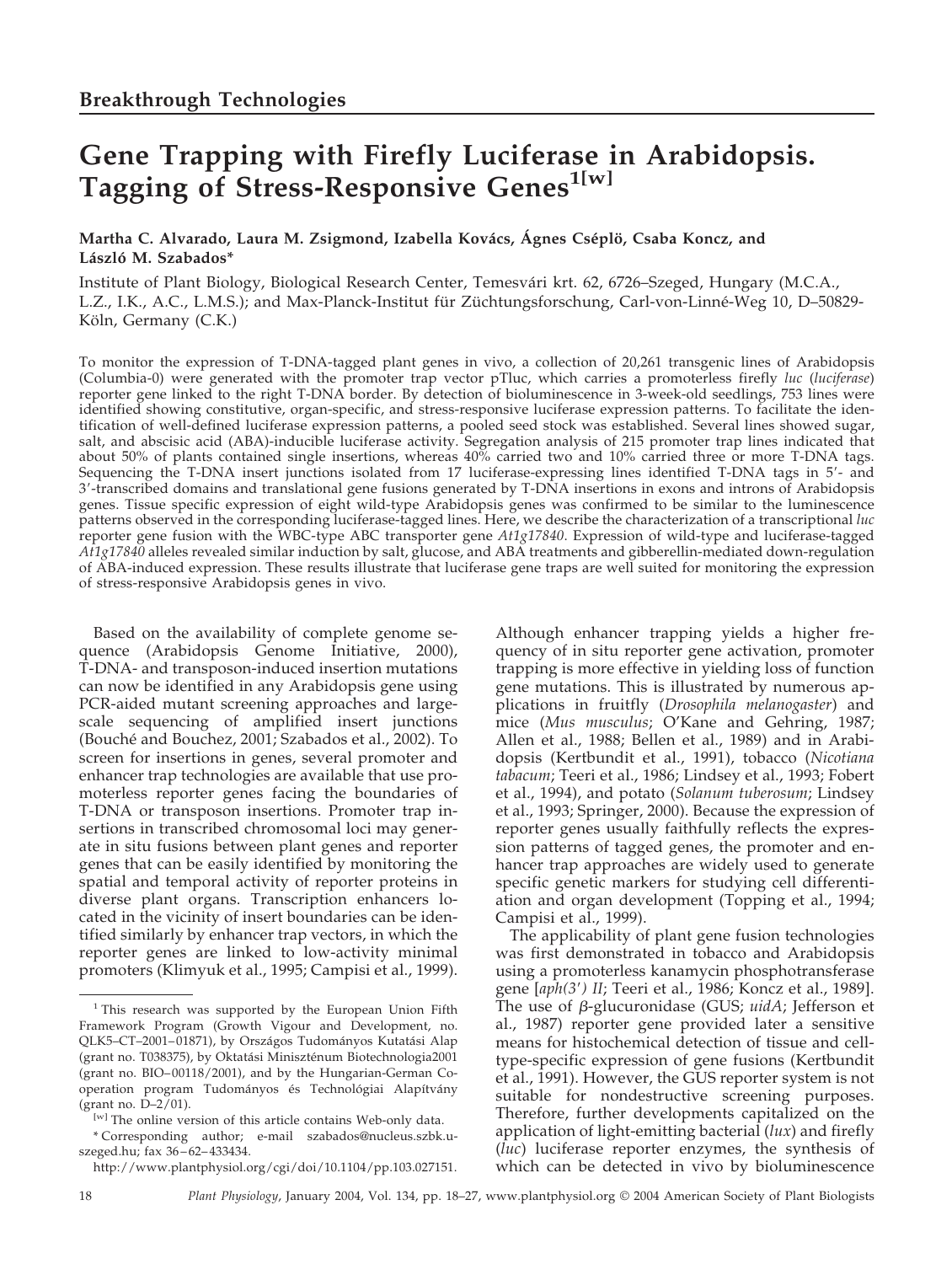# **Gene Trapping with Firefly Luciferase in Arabidopsis. Tagging of Stress-Responsive Genes1[w]**

## Martha C. Alvarado, Laura M. Zsigmond, Izabella Kovács, Ágnes Cséplö, Csaba Koncz, and **La´szlo´ M. Szabados\***

Institute of Plant Biology, Biological Research Center, Temesvári krt. 62, 6726–Szeged, Hungary (M.C.A., L.Z., I.K., A.C., L.M.S.); and Max-Planck-Institut für Züchtungsforschung, Carl-von-Linné-Weg 10, D–50829-Köln, Germany (C.K.)

To monitor the expression of T-DNA-tagged plant genes in vivo, a collection of 20,261 transgenic lines of Arabidopsis (Columbia-0) were generated with the promoter trap vector pTluc, which carries a promoterless firefly *luc* (*luciferase*) reporter gene linked to the right T-DNA border. By detection of bioluminescence in 3-week-old seedlings, 753 lines were identified showing constitutive, organ-specific, and stress-responsive luciferase expression patterns. To facilitate the identification of well-defined luciferase expression patterns, a pooled seed stock was established. Several lines showed sugar, salt, and abscisic acid (ABA)-inducible luciferase activity. Segregation analysis of 215 promoter trap lines indicated that about 50% of plants contained single insertions, whereas 40% carried two and 10% carried three or more T-DNA tags. Sequencing the T-DNA insert junctions isolated from 17 luciferase-expressing lines identified T-DNA tags in 5- and 3-transcribed domains and translational gene fusions generated by T-DNA insertions in exons and introns of Arabidopsis genes. Tissue specific expression of eight wild-type Arabidopsis genes was confirmed to be similar to the luminescence patterns observed in the corresponding luciferase-tagged lines. Here, we describe the characterization of a transcriptional *luc* reporter gene fusion with the WBC-type ABC transporter gene *At1g17840*. Expression of wild-type and luciferase-tagged *At1g17840* alleles revealed similar induction by salt, glucose, and ABA treatments and gibberellin-mediated down-regulation of ABA-induced expression. These results illustrate that luciferase gene traps are well suited for monitoring the expression of stress-responsive Arabidopsis genes in vivo.

Based on the availability of complete genome sequence (Arabidopsis Genome Initiative, 2000), T-DNA- and transposon-induced insertion mutations can now be identified in any Arabidopsis gene using PCR-aided mutant screening approaches and largescale sequencing of amplified insert junctions (Bouché and Bouchez, 2001; Szabados et al., 2002). To screen for insertions in genes, several promoter and enhancer trap technologies are available that use promoterless reporter genes facing the boundaries of T-DNA or transposon insertions. Promoter trap insertions in transcribed chromosomal loci may generate in situ fusions between plant genes and reporter genes that can be easily identified by monitoring the spatial and temporal activity of reporter proteins in diverse plant organs. Transcription enhancers located in the vicinity of insert boundaries can be identified similarly by enhancer trap vectors, in which the reporter genes are linked to low-activity minimal promoters (Klimyuk et al., 1995; Campisi et al., 1999).

http://www.plantphysiol.org/cgi/doi/10.1104/pp.103.027151.

Although enhancer trapping yields a higher frequency of in situ reporter gene activation, promoter trapping is more effective in yielding loss of function gene mutations. This is illustrated by numerous applications in fruitfly (*Drosophila melanogaster*) and mice (*Mus musculus*; O'Kane and Gehring, 1987; Allen et al., 1988; Bellen et al., 1989) and in Arabidopsis (Kertbundit et al., 1991), tobacco (*Nicotiana tabacum*; Teeri et al., 1986; Lindsey et al., 1993; Fobert et al., 1994), and potato (*Solanum tuberosum*; Lindsey et al., 1993; Springer, 2000). Because the expression of reporter genes usually faithfully reflects the expression patterns of tagged genes, the promoter and enhancer trap approaches are widely used to generate specific genetic markers for studying cell differentiation and organ development (Topping et al., 1994; Campisi et al., 1999).

The applicability of plant gene fusion technologies was first demonstrated in tobacco and Arabidopsis using a promoterless kanamycin phosphotransferase gene [*aph(3) II*; Teeri et al., 1986; Koncz et al., 1989]. The use of  $\beta$ -glucuronidase (GUS; *uidA*; Jefferson et al., 1987) reporter gene provided later a sensitive means for histochemical detection of tissue and celltype-specific expression of gene fusions (Kertbundit et al., 1991). However, the GUS reporter system is not suitable for nondestructive screening purposes. Therefore, further developments capitalized on the application of light-emitting bacterial (*lux*) and firefly (*luc*) luciferase reporter enzymes, the synthesis of which can be detected in vivo by bioluminescence

<sup>&</sup>lt;sup>1</sup> This research was supported by the European Union Fifth Framework Program (Growth Vigour and Development, no. QLK5-CT-2001-01871), by Országos Tudományos Kutatási Alap (grant no. T038375), by Oktatási Miniszténum Biotechnologia2001 (grant no. BIO–00118/2001), and by the Hungarian-German Cooperation program Tudományos és Technológiai Alapítvány (grant no. D–2/01).

 $[<sup>w</sup>]$  The online version of this article contains Web-only data.

<sup>\*</sup> Corresponding author; e-mail szabados@nucleus.szbk.uszeged.hu; fax 36–62–433434.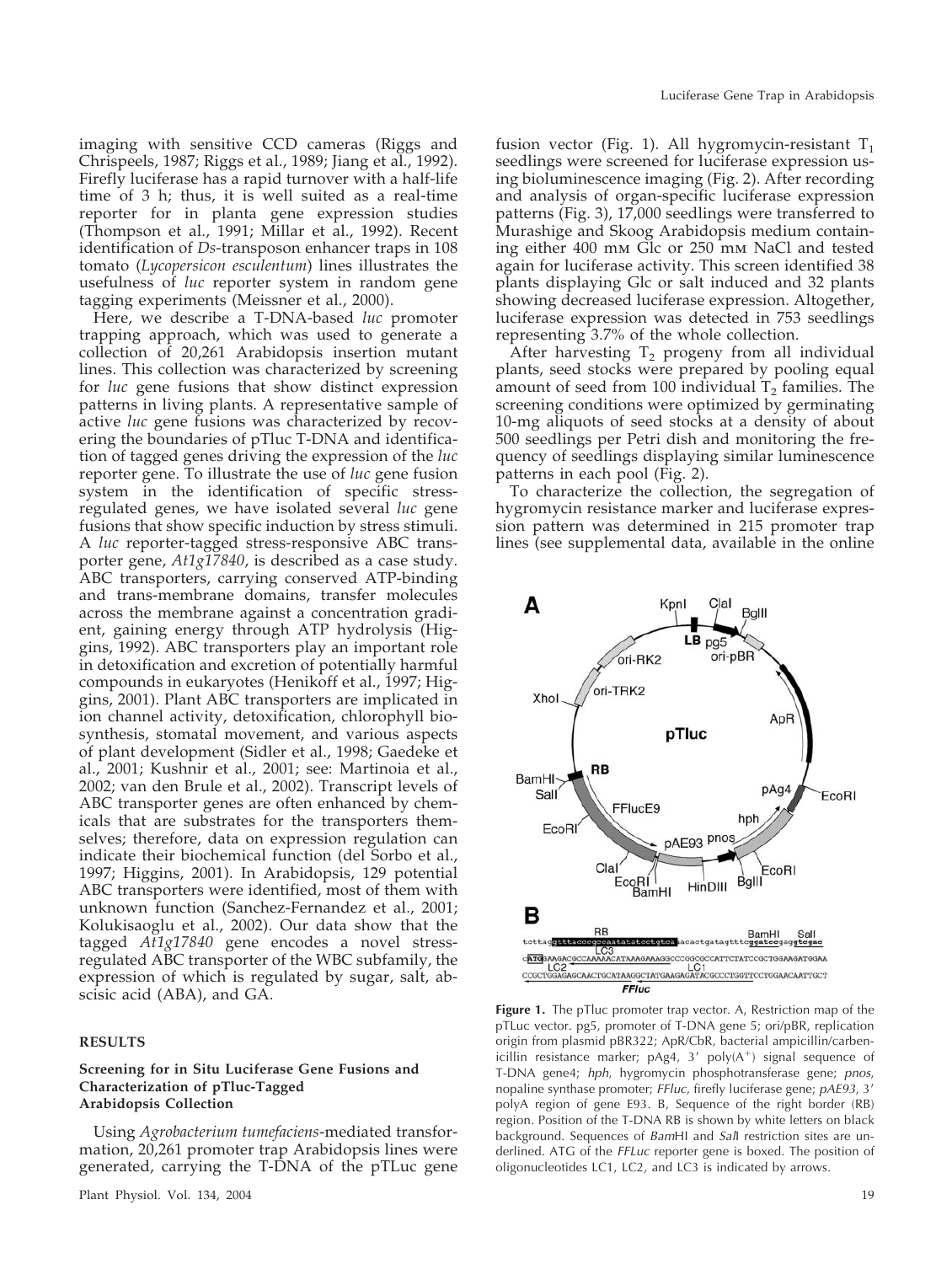imaging with sensitive CCD cameras (Riggs and Chrispeels, 1987; Riggs et al., 1989; Jiang et al., 1992). Firefly luciferase has a rapid turnover with a half-life time of 3 h; thus, it is well suited as a real-time reporter for in planta gene expression studies (Thompson et al., 1991; Millar et al., 1992). Recent identification of *Ds*-transposon enhancer traps in 108 tomato (*Lycopersicon esculentum*) lines illustrates the usefulness of *luc* reporter system in random gene tagging experiments (Meissner et al., 2000).

Here, we describe a T-DNA-based *luc* promoter trapping approach, which was used to generate a collection of 20,261 Arabidopsis insertion mutant lines. This collection was characterized by screening for *luc* gene fusions that show distinct expression patterns in living plants. A representative sample of active *luc* gene fusions was characterized by recovering the boundaries of pTluc T-DNA and identification of tagged genes driving the expression of the *luc* reporter gene. To illustrate the use of *luc* gene fusion system in the identification of specific stressregulated genes, we have isolated several *luc* gene fusions that show specific induction by stress stimuli. A *luc* reporter-tagged stress-responsive ABC transporter gene, *At1g17840*, is described as a case study. ABC transporters, carrying conserved ATP-binding and trans-membrane domains, transfer molecules across the membrane against a concentration gradient, gaining energy through ATP hydrolysis (Higgins, 1992). ABC transporters play an important role in detoxification and excretion of potentially harmful compounds in eukaryotes (Henikoff et al., 1997; Higgins, 2001). Plant ABC transporters are implicated in ion channel activity, detoxification, chlorophyll biosynthesis, stomatal movement, and various aspects of plant development (Sidler et al., 1998; Gaedeke et al., 2001; Kushnir et al., 2001; see: Martinoia et al., 2002; van den Brule et al., 2002). Transcript levels of ABC transporter genes are often enhanced by chemicals that are substrates for the transporters themselves; therefore, data on expression regulation can indicate their biochemical function (del Sorbo et al., 1997; Higgins, 2001). In Arabidopsis, 129 potential ABC transporters were identified, most of them with unknown function (Sanchez-Fernandez et al., 2001; Kolukisaoglu et al., 2002). Our data show that the tagged *At1g17840* gene encodes a novel stressregulated ABC transporter of the WBC subfamily, the expression of which is regulated by sugar, salt, abscisic acid (ABA), and GA.

#### **RESULTS**

## **Screening for in Situ Luciferase Gene Fusions and Characterization of pTluc-Tagged Arabidopsis Collection**

Using *Agrobacterium tumefaciens*-mediated transformation, 20,261 promoter trap Arabidopsis lines were generated, carrying the T-DNA of the pTLuc gene

fusion vector (Fig. 1). All hygromycin-resistant  $T_1$ seedlings were screened for luciferase expression using bioluminescence imaging (Fig. 2). After recording and analysis of organ-specific luciferase expression patterns (Fig. 3), 17,000 seedlings were transferred to Murashige and Skoog Arabidopsis medium containing either 400 mm Glc or 250 mm NaCl and tested again for luciferase activity. This screen identified 38 plants displaying Glc or salt induced and 32 plants showing decreased luciferase expression. Altogether, luciferase expression was detected in 753 seedlings representing 3.7% of the whole collection.

After harvesting  $T_2$  progeny from all individual plants, seed stocks were prepared by pooling equal amount of seed from 100 individual  $T_2$  families. The screening conditions were optimized by germinating 10-mg aliquots of seed stocks at a density of about 500 seedlings per Petri dish and monitoring the frequency of seedlings displaying similar luminescence patterns in each pool (Fig. 2).

To characterize the collection, the segregation of hygromycin resistance marker and luciferase expression pattern was determined in 215 promoter trap lines (see supplemental data, available in the online



**Figure 1.** The pTluc promoter trap vector. A, Restriction map of the pTLuc vector. pg5, promoter of T-DNA gene 5; ori/pBR, replication origin from plasmid pBR322; ApR/CbR, bacterial ampicillin/carbenicillin resistance marker;  $pAg4$ , 3'  $poly(A<sup>+</sup>)$  signal sequence of T-DNA gene4; *hph*, hygromycin phosphotransferase gene; *pnos*, nopaline synthase promoter; *FFluc*, firefly luciferase gene; *pAE93*, 3 polyA region of gene E93. B, Sequence of the right border (RB) region. Position of the T-DNA RB is shown by white letters on black background. Sequences of *Bam*HI and *Sal*I restriction sites are underlined. ATG of the *FFLuc* reporter gene is boxed. The position of oligonucleotides LC1, LC2, and LC3 is indicated by arrows.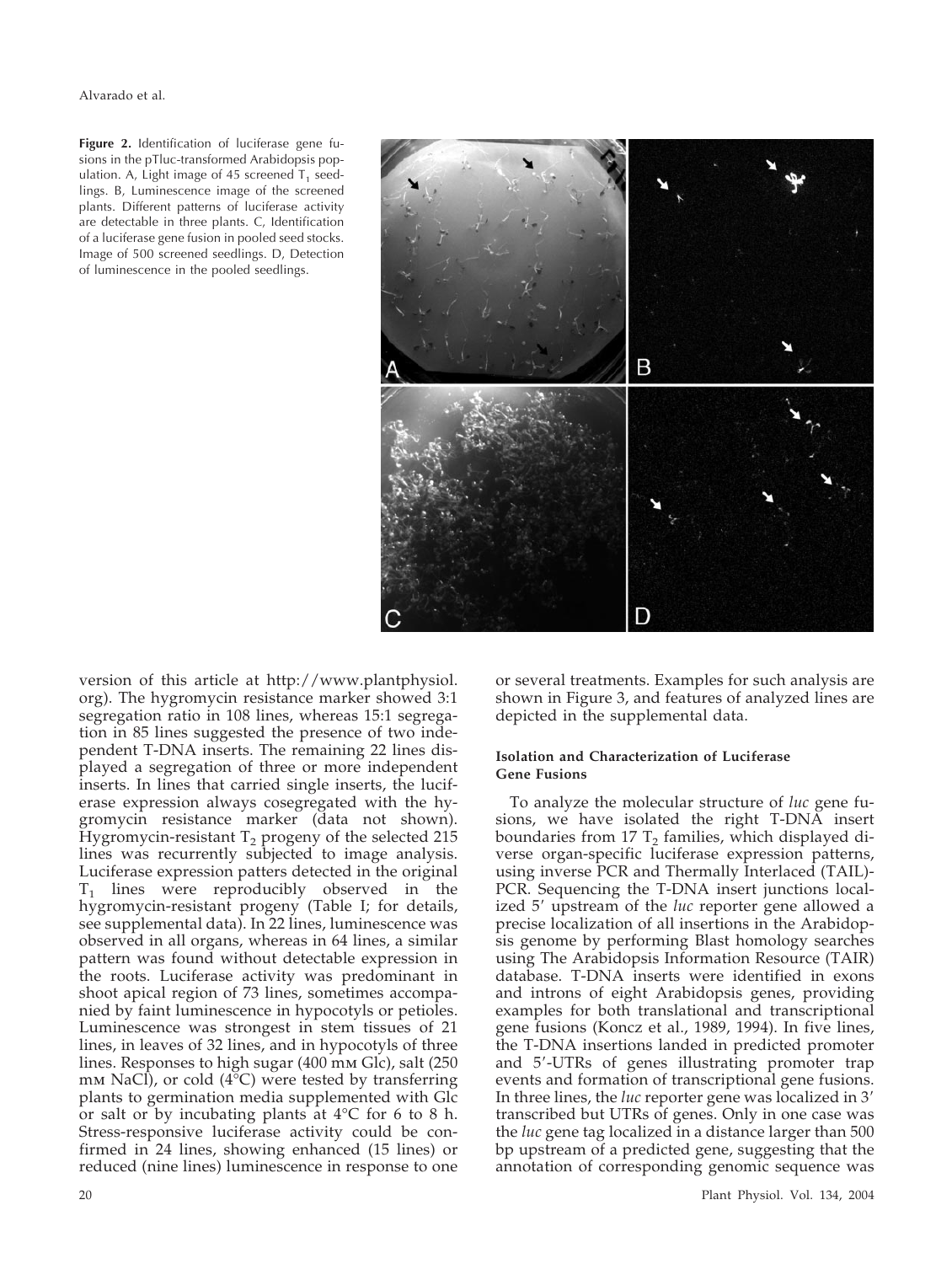Alvarado et al.

Figure 2. Identification of luciferase gene fusions in the pTluc-transformed Arabidopsis population. A, Light image of 45 screened  $T_1$  seedlings. B, Luminescence image of the screened plants. Different patterns of luciferase activity are detectable in three plants. C, Identification of a luciferase gene fusion in pooled seed stocks. Image of 500 screened seedlings. D, Detection of luminescence in the pooled seedlings.



version of this article at http://www.plantphysiol. org). The hygromycin resistance marker showed 3:1 segregation ratio in 108 lines, whereas 15:1 segregation in 85 lines suggested the presence of two independent T-DNA inserts. The remaining 22 lines displayed a segregation of three or more independent inserts. In lines that carried single inserts, the luciferase expression always cosegregated with the hygromycin resistance marker (data not shown). Hygromycin-resistant  $T_2$  progeny of the selected 215 lines was recurrently subjected to image analysis. Luciferase expression patters detected in the original  $T_1$  lines were reproducibly observed in the hygromycin-resistant progeny (Table I; for details, see supplemental data). In 22 lines, luminescence was observed in all organs, whereas in 64 lines, a similar pattern was found without detectable expression in the roots. Luciferase activity was predominant in shoot apical region of 73 lines, sometimes accompanied by faint luminescence in hypocotyls or petioles. Luminescence was strongest in stem tissues of 21 lines, in leaves of 32 lines, and in hypocotyls of three lines. Responses to high sugar (400 mm Glc), salt (250 mm NaCl), or cold  $(4^{\circ}C)$  were tested by transferring plants to germination media supplemented with Glc or salt or by incubating plants at 4°C for 6 to 8 h. Stress-responsive luciferase activity could be confirmed in 24 lines, showing enhanced (15 lines) or reduced (nine lines) luminescence in response to one

or several treatments. Examples for such analysis are shown in Figure 3, and features of analyzed lines are depicted in the supplemental data.

## **Isolation and Characterization of Luciferase Gene Fusions**

To analyze the molecular structure of *luc* gene fusions, we have isolated the right T-DNA insert boundaries from 17  $T_2$  families, which displayed diverse organ-specific luciferase expression patterns, using inverse PCR and Thermally Interlaced (TAIL)- PCR. Sequencing the T-DNA insert junctions localized 5' upstream of the *luc* reporter gene allowed a precise localization of all insertions in the Arabidopsis genome by performing Blast homology searches using The Arabidopsis Information Resource (TAIR) database. T-DNA inserts were identified in exons and introns of eight Arabidopsis genes, providing examples for both translational and transcriptional gene fusions (Koncz et al., 1989, 1994). In five lines, the T-DNA insertions landed in predicted promoter and 5-UTRs of genes illustrating promoter trap events and formation of transcriptional gene fusions. In three lines, the *luc* reporter gene was localized in 3 transcribed but UTRs of genes. Only in one case was the *luc* gene tag localized in a distance larger than 500 bp upstream of a predicted gene, suggesting that the annotation of corresponding genomic sequence was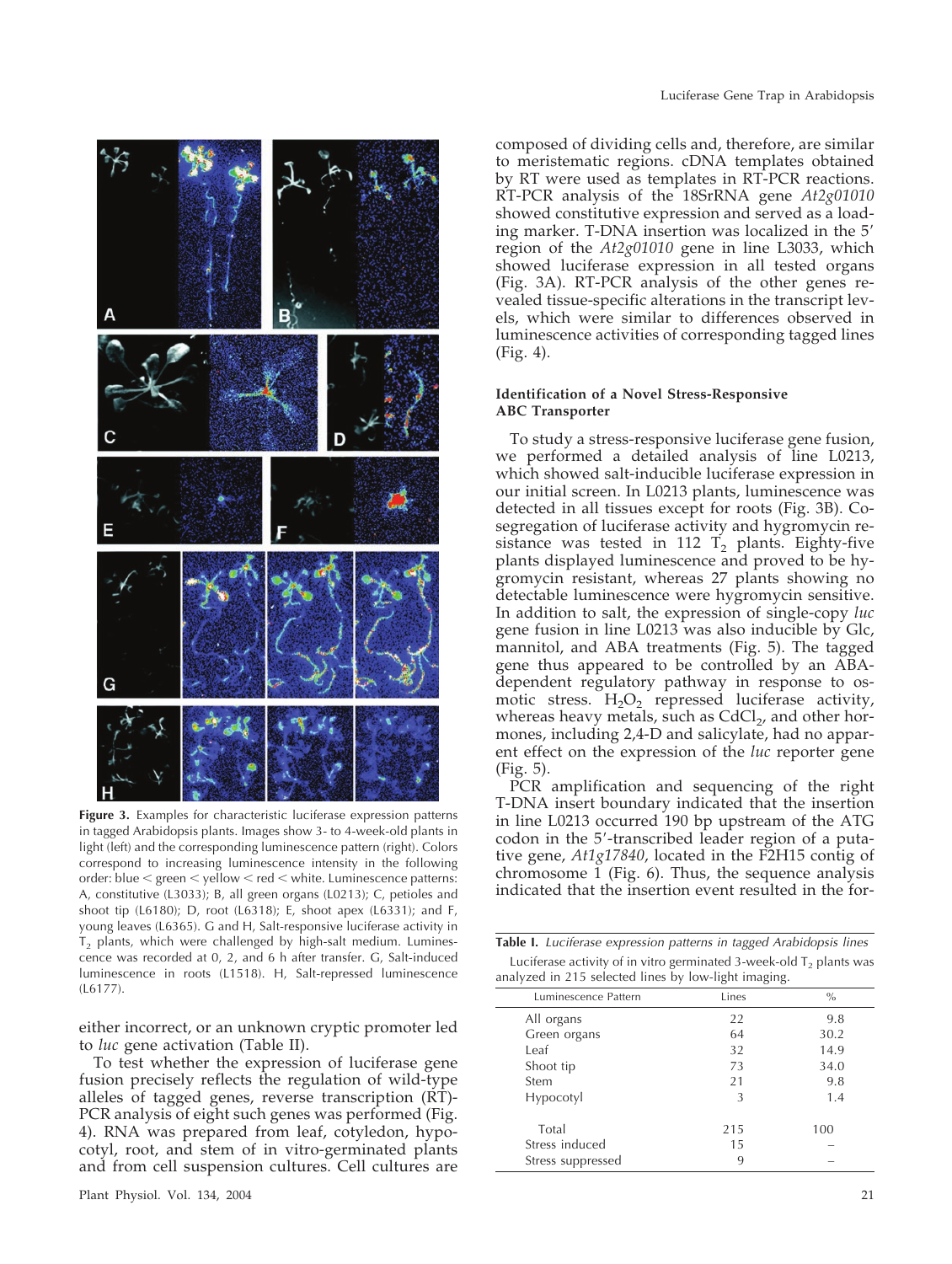

**Figure 3.** Examples for characteristic luciferase expression patterns in tagged Arabidopsis plants. Images show 3- to 4-week-old plants in light (left) and the corresponding luminescence pattern (right). Colors correspond to increasing luminescence intensity in the following order: blue  $\leq$  green  $\leq$  yellow  $\leq$  red  $\leq$  white. Luminescence patterns: A, constitutive (L3033); B, all green organs (L0213); C, petioles and shoot tip (L6180); D, root (L6318); E, shoot apex (L6331); and F, young leaves (L6365). G and H, Salt-responsive luciferase activity in  $T<sub>2</sub>$  plants, which were challenged by high-salt medium. Luminescence was recorded at 0, 2, and 6 h after transfer. G, Salt-induced luminescence in roots (L1518). H, Salt-repressed luminescence (L6177).

either incorrect, or an unknown cryptic promoter led to *luc* gene activation (Table II).

To test whether the expression of luciferase gene fusion precisely reflects the regulation of wild-type alleles of tagged genes, reverse transcription (RT)- PCR analysis of eight such genes was performed (Fig. 4). RNA was prepared from leaf, cotyledon, hypocotyl, root, and stem of in vitro-germinated plants and from cell suspension cultures. Cell cultures are

composed of dividing cells and, therefore, are similar to meristematic regions. cDNA templates obtained by RT were used as templates in RT-PCR reactions. RT-PCR analysis of the 18SrRNA gene *At2g01010* showed constitutive expression and served as a loading marker. T-DNA insertion was localized in the 5 region of the *At2g01010* gene in line L3033, which showed luciferase expression in all tested organs (Fig. 3A). RT-PCR analysis of the other genes revealed tissue-specific alterations in the transcript levels, which were similar to differences observed in luminescence activities of corresponding tagged lines (Fig. 4).

#### **Identification of a Novel Stress-Responsive ABC Transporter**

To study a stress-responsive luciferase gene fusion, we performed a detailed analysis of line L0213, which showed salt-inducible luciferase expression in our initial screen. In L0213 plants, luminescence was detected in all tissues except for roots (Fig. 3B). Cosegregation of luciferase activity and hygromycin resistance was tested in 112  $T_2$  plants. Eighty-five plants displayed luminescence and proved to be hygromycin resistant, whereas 27 plants showing no detectable luminescence were hygromycin sensitive. In addition to salt, the expression of single-copy *luc* gene fusion in line L0213 was also inducible by Glc, mannitol, and ABA treatments (Fig. 5). The tagged gene thus appeared to be controlled by an ABAdependent regulatory pathway in response to osmotic stress.  $H_2O_2$  repressed luciferase activity, whereas heavy metals, such as  $CdCl<sub>2</sub>$ , and other hormones, including 2,4-D and salicylate, had no apparent effect on the expression of the *luc* reporter gene (Fig. 5).

PCR amplification and sequencing of the right T-DNA insert boundary indicated that the insertion in line L0213 occurred 190 bp upstream of the ATG codon in the 5'-transcribed leader region of a putative gene, *At1g17840*, located in the F2H15 contig of chromosome 1 (Fig. 6). Thus, the sequence analysis indicated that the insertion event resulted in the for-

| <b>Table I.</b> Luciferase expression patterns in tagged Arabidopsis lines |
|----------------------------------------------------------------------------|
| Luciferase activity of in vitro germinated 3-week-old $T2$ plants was      |
| analyzed in 215 selected lines by low-light imaging.                       |

|                      | $\epsilon$ | $\sim$        |
|----------------------|------------|---------------|
| Luminescence Pattern | Lines      | $\frac{0}{0}$ |
| All organs           | 22         | 9.8           |
| Green organs         | 64         | 30.2          |
| Leaf                 | 32         | 14.9          |
| Shoot tip            | 73         | 34.0          |
| Stem                 | 21         | 9.8           |
| Hypocotyl            | 3          | 1.4           |
| Total                | 215        | 100           |
| Stress induced       | 15         |               |
| Stress suppressed    | 9          |               |
|                      |            |               |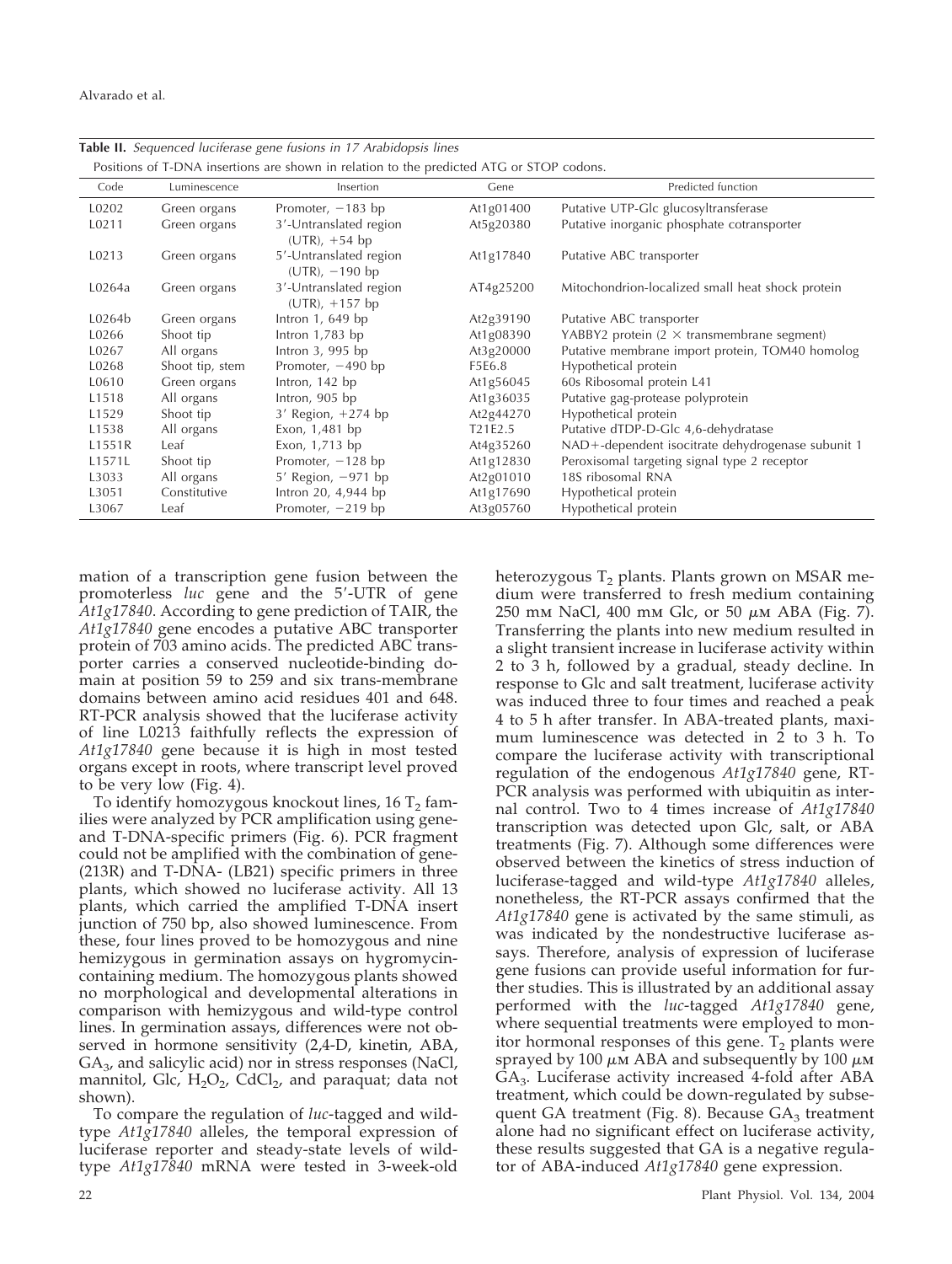|        |                 | Positions of T-DNA insertions are shown in relation to the predicted ATG or STOP codons. |                                  |                                                   |
|--------|-----------------|------------------------------------------------------------------------------------------|----------------------------------|---------------------------------------------------|
| Code   | Luminescence    | Insertion                                                                                | Gene                             | Predicted function                                |
| L0202  | Green organs    | Promoter, $-183$ bp                                                                      | At1g01400                        | Putative UTP-Glc glucosyltransferase              |
| L0211  | Green organs    | 3'-Untranslated region<br>$(UTR)$ , +54 bp                                               | At5g20380                        | Putative inorganic phosphate cotransporter        |
| L0213  | Green organs    | 5'-Untranslated region<br>$(UTR)$ , $-190$ bp                                            | At1g17840                        | Putative ABC transporter                          |
| L0264a | Green organs    | 3'-Untranslated region<br>$(UTR)$ , +157 bp                                              | AT4g25200                        | Mitochondrion-localized small heat shock protein  |
| L0264b | Green organs    | Intron $1,649$ bp                                                                        | At2g39190                        | Putative ABC transporter                          |
| L0266  | Shoot tip       | Intron $1,783$ bp                                                                        | At1g08390                        | YABBY2 protein $(2 \times$ transmembrane segment) |
| L0267  | All organs      | Intron $3,995$ bp                                                                        | At3g20000                        | Putative membrane import protein, TOM40 homolog   |
| L0268  | Shoot tip, stem | Promoter, $-490$ bp                                                                      | F5E6.8                           | Hypothetical protein                              |
| L0610  | Green organs    | Intron, 142 bp                                                                           | At1g56045                        | 60s Ribosomal protein L41                         |
| L1518  | All organs      | Intron, 905 bp                                                                           | At1g36035                        | Putative gag-protease polyprotein                 |
| L1529  | Shoot tip       | $3'$ Region, $+274$ bp                                                                   | At2g44270                        | Hypothetical protein                              |
| L1538  | All organs      | Exon, 1,481 bp                                                                           | T <sub>2</sub> 1E <sub>2.5</sub> | Putative dTDP-D-Glc 4,6-dehydratase               |
| L1551R | Leaf            | Exon, 1,713 bp                                                                           | At4g35260                        | NAD+-dependent isocitrate dehydrogenase subunit 1 |
| L1571L | Shoot tip       | Promoter, $-128$ bp                                                                      | At1g12830                        | Peroxisomal targeting signal type 2 receptor      |
| L3033  | All organs      | $5'$ Region, $-971$ bp                                                                   | At2g01010                        | 18S ribosomal RNA                                 |
| L3051  | Constitutive    | Intron 20, 4,944 bp                                                                      | At1g17690                        | Hypothetical protein                              |
| L3067  | Leaf            | Promoter, $-219$ bp                                                                      | At3g05760                        | Hypothetical protein                              |

**Table II.** *Sequenced luciferase gene fusions in 17 Arabidopsis lines*

mation of a transcription gene fusion between the promoterless *luc* gene and the 5-UTR of gene *At1g17840*. According to gene prediction of TAIR, the *At1g17840* gene encodes a putative ABC transporter protein of 703 amino acids. The predicted ABC transporter carries a conserved nucleotide-binding domain at position 59 to 259 and six trans-membrane domains between amino acid residues 401 and 648. RT-PCR analysis showed that the luciferase activity of line L0213 faithfully reflects the expression of *At1g17840* gene because it is high in most tested organs except in roots, where transcript level proved to be very low (Fig. 4).

To identify homozygous knockout lines,  $16 T<sub>2</sub>$  families were analyzed by PCR amplification using geneand T-DNA-specific primers (Fig. 6). PCR fragment could not be amplified with the combination of gene- (213R) and T-DNA- (LB21) specific primers in three plants, which showed no luciferase activity. All 13 plants, which carried the amplified T-DNA insert junction of 750 bp, also showed luminescence. From these, four lines proved to be homozygous and nine hemizygous in germination assays on hygromycincontaining medium. The homozygous plants showed no morphological and developmental alterations in comparison with hemizygous and wild-type control lines. In germination assays, differences were not observed in hormone sensitivity (2,4-D, kinetin, ABA,  $GA<sub>3</sub>$ , and salicylic acid) nor in stress responses (NaCl, mannitol, Glc,  $H_2O_2$ , CdCl<sub>2</sub>, and paraquat; data not shown).

To compare the regulation of *luc*-tagged and wildtype *At1g17840* alleles, the temporal expression of luciferase reporter and steady-state levels of wildtype *At1g17840* mRNA were tested in 3-week-old

dium were transferred to fresh medium containing 250 mm NaCl, 400 mm Glc, or 50 µm ABA (Fig. 7). Transferring the plants into new medium resulted in a slight transient increase in luciferase activity within 2 to 3 h, followed by a gradual, steady decline. In response to Glc and salt treatment, luciferase activity was induced three to four times and reached a peak 4 to 5 h after transfer. In ABA-treated plants, maximum luminescence was detected in 2 to 3 h. To compare the luciferase activity with transcriptional regulation of the endogenous *At1g17840* gene, RT-PCR analysis was performed with ubiquitin as internal control. Two to 4 times increase of *At1g17840* transcription was detected upon Glc, salt, or ABA treatments (Fig. 7). Although some differences were observed between the kinetics of stress induction of luciferase-tagged and wild-type *At1g17840* alleles, nonetheless, the RT-PCR assays confirmed that the *At1g17840* gene is activated by the same stimuli, as was indicated by the nondestructive luciferase assays. Therefore, analysis of expression of luciferase gene fusions can provide useful information for further studies. This is illustrated by an additional assay performed with the *luc*-tagged *At1g17840* gene, where sequential treatments were employed to monitor hormonal responses of this gene.  $T_2$  plants were sprayed by 100  $\mu$ m ABA and subsequently by 100  $\mu$ m  $GA<sub>3</sub>$ . Luciferase activity increased 4-fold after ABA treatment, which could be down-regulated by subsequent GA treatment (Fig. 8). Because  $GA<sub>3</sub>$  treatment alone had no significant effect on luciferase activity, these results suggested that GA is a negative regulator of ABA-induced *At1g17840* gene expression.

heterozygous  $T<sub>2</sub>$  plants. Plants grown on MSAR me-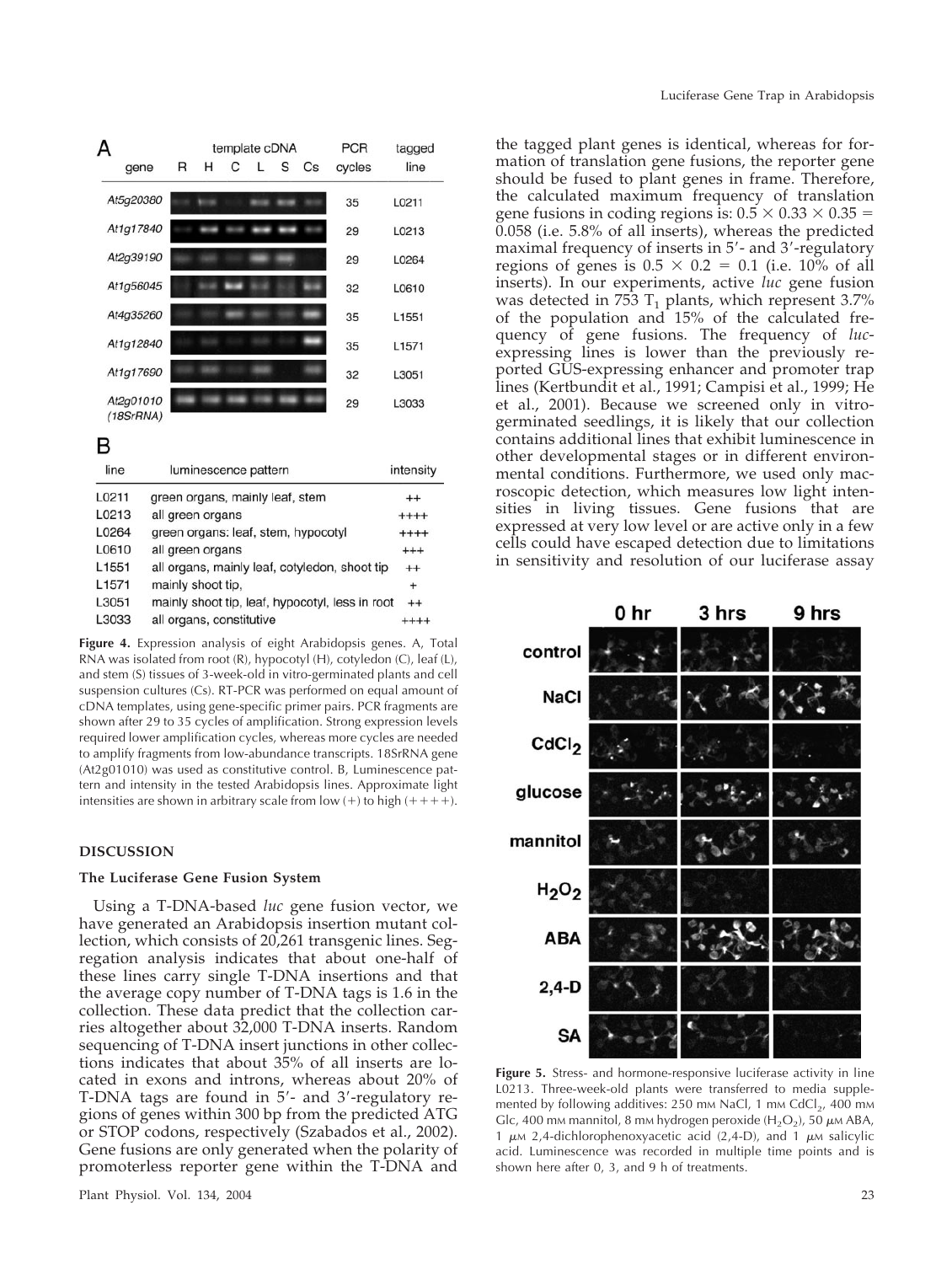| А                      |   |   |   | template cDNA | <b>PCR</b> | tagged |        |       |
|------------------------|---|---|---|---------------|------------|--------|--------|-------|
| gene                   | R | н | С | L             | S          | Cs     | cycles | line  |
| At5g20380              |   |   |   |               |            |        | 35     | L0211 |
| At1g17840              |   |   |   |               |            |        | 29     | L0213 |
| At2g39190              |   |   |   |               |            |        | 29     | L0264 |
| At1g56045              |   |   |   |               |            |        | 32     | L0610 |
| At4g35260              |   |   |   |               |            |        | 35     | L1551 |
| At1g12840              |   |   |   |               |            |        | 35     | L1571 |
| At1g17690              |   |   |   |               |            |        | 32     | L3051 |
| At2g01010<br>(18SrRNA) |   |   |   |               |            |        | 29     | L3033 |

# в

| line              | luminescence pattern                            | intensity |
|-------------------|-------------------------------------------------|-----------|
| L0211             | green organs, mainly leaf, stem                 | $^{++}$   |
| L0213             | all green organs                                | $++++$    |
| L0264             | green organs: leaf, stem, hypocotyl             | $++++$    |
| L0610             | all green organs                                | $^{+++}$  |
| L <sub>1551</sub> | all organs, mainly leaf, cotyledon, shoot tip   | $^{++}$   |
| L <sub>1571</sub> | mainly shoot tip.                               | $\ddot{}$ |
| L3051             | mainly shoot tip, leaf, hypocotyl, less in root | $^{++}$   |
| L3033             | all organs, constitutive                        | $^{++++}$ |

**Figure 4.** Expression analysis of eight Arabidopsis genes. A, Total RNA was isolated from root (R), hypocotyl (H), cotyledon (C), leaf (L), and stem (S) tissues of 3-week-old in vitro-germinated plants and cell suspension cultures (Cs). RT-PCR was performed on equal amount of cDNA templates, using gene-specific primer pairs. PCR fragments are shown after 29 to 35 cycles of amplification. Strong expression levels required lower amplification cycles, whereas more cycles are needed to amplify fragments from low-abundance transcripts. 18SrRNA gene (At2g01010) was used as constitutive control. B, Luminescence pattern and intensity in the tested Arabidopsis lines. Approximate light intensities are shown in arbitrary scale from low  $(+)$  to high  $(+++)$ .

#### **DISCUSSION**

#### **The Luciferase Gene Fusion System**

Using a T-DNA-based *luc* gene fusion vector, we have generated an Arabidopsis insertion mutant collection, which consists of 20,261 transgenic lines. Segregation analysis indicates that about one-half of these lines carry single T-DNA insertions and that the average copy number of T-DNA tags is 1.6 in the collection. These data predict that the collection carries altogether about 32,000 T-DNA inserts. Random sequencing of T-DNA insert junctions in other collections indicates that about 35% of all inserts are located in exons and introns, whereas about 20% of T-DNA tags are found in 5'- and 3'-regulatory regions of genes within 300 bp from the predicted ATG or STOP codons, respectively (Szabados et al., 2002). Gene fusions are only generated when the polarity of promoterless reporter gene within the T-DNA and

the tagged plant genes is identical, whereas for formation of translation gene fusions, the reporter gene should be fused to plant genes in frame. Therefore, the calculated maximum frequency of translation gene fusions in coding regions is:  $0.5 \times 0.33 \times 0.35 =$ 0.058 (i.e. 5.8% of all inserts), whereas the predicted maximal frequency of inserts in 5'- and 3'-regulatory regions of genes is  $0.5 \times 0.2 = 0.1$  (i.e. 10% of all inserts). In our experiments, active *luc* gene fusion was detected in 753  $T_1$  plants, which represent 3.7% of the population and 15% of the calculated frequency of gene fusions. The frequency of *luc*expressing lines is lower than the previously reported GUS-expressing enhancer and promoter trap lines (Kertbundit et al., 1991; Campisi et al., 1999; He et al., 2001). Because we screened only in vitrogerminated seedlings, it is likely that our collection contains additional lines that exhibit luminescence in other developmental stages or in different environmental conditions. Furthermore, we used only macroscopic detection, which measures low light intensities in living tissues. Gene fusions that are expressed at very low level or are active only in a few cells could have escaped detection due to limitations in sensitivity and resolution of our luciferase assay



**Figure 5.** Stress- and hormone-responsive luciferase activity in line L0213. Three-week-old plants were transferred to media supplemented by following additives: 250 mm NaCl, 1 mm CdCl<sub>2</sub>, 400 mm Glc, 400 mm mannitol, 8 mm hydrogen peroxide (H<sub>2</sub>O<sub>2</sub>), 50  $\mu$ m ABA, 1  $\mu$ м 2,4-dichlorophenoxyacetic acid (2,4-D), and 1  $\mu$ м salicylic acid. Luminescence was recorded in multiple time points and is shown here after 0, 3, and 9 h of treatments.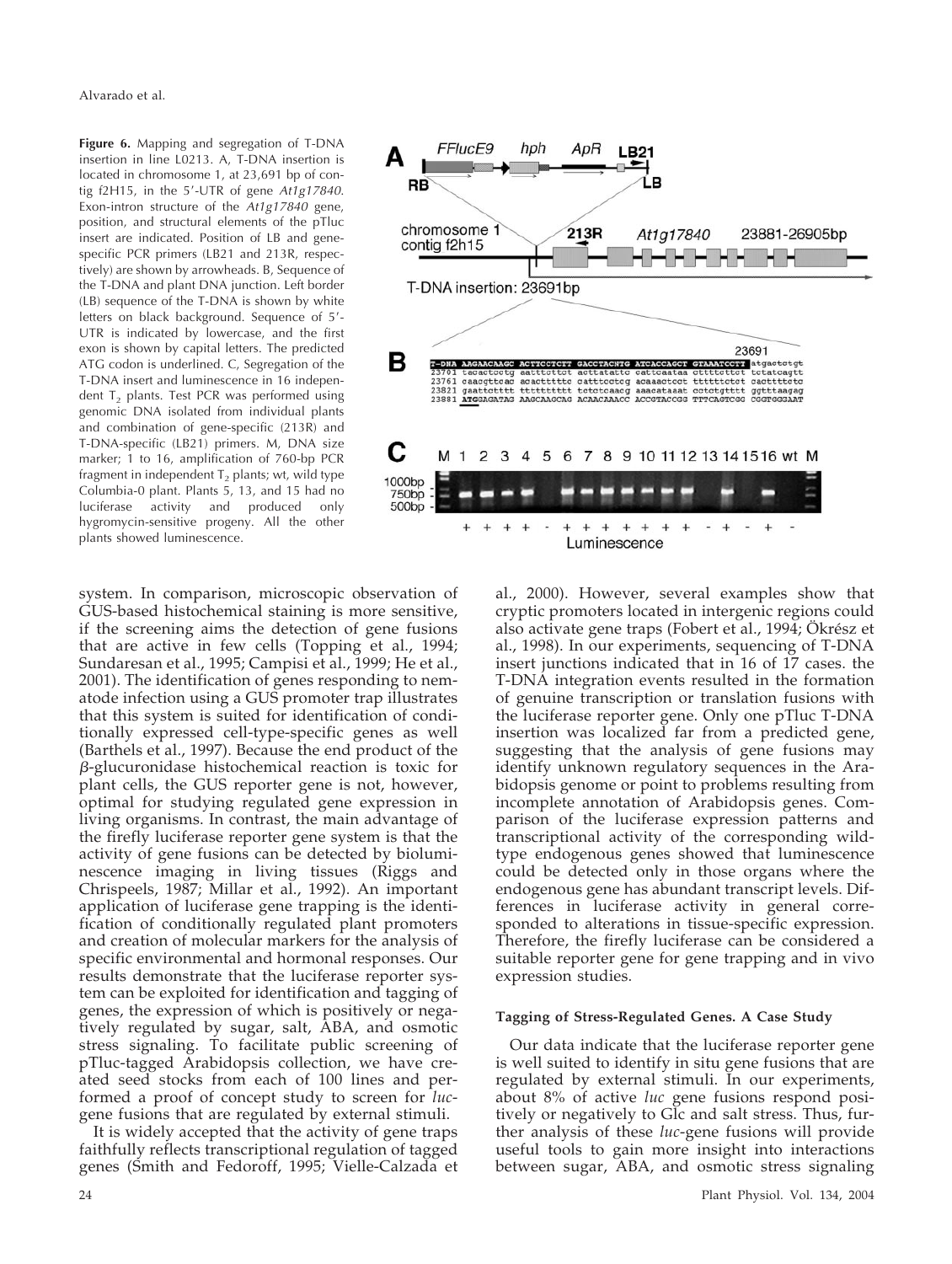Alvarado et al.

**Figure 6.** Mapping and segregation of T-DNA insertion in line L0213. A, T-DNA insertion is located in chromosome 1, at 23,691 bp of contig f2H15, in the 5-UTR of gene *At1g17840*. Exon-intron structure of the *At1g17840* gene, position, and structural elements of the pTluc insert are indicated. Position of LB and genespecific PCR primers (LB21 and 213R, respectively) are shown by arrowheads. B, Sequence of the T-DNA and plant DNA junction. Left border (LB) sequence of the T-DNA is shown by white letters on black background. Sequence of 5'-UTR is indicated by lowercase, and the first exon is shown by capital letters. The predicted ATG codon is underlined. C, Segregation of the T-DNA insert and luminescence in 16 independent  $T<sub>2</sub>$  plants. Test PCR was performed using genomic DNA isolated from individual plants and combination of gene-specific (213R) and T-DNA-specific (LB21) primers. M, DNA size marker; 1 to 16, amplification of 760-bp PCR fragment in independent  $T<sub>2</sub>$  plants; wt, wild type Columbia-0 plant. Plants 5, 13, and 15 had no luciferase activity and produced only hygromycin-sensitive progeny. All the other plants showed luminescence.

system. In comparison, microscopic observation of GUS-based histochemical staining is more sensitive, if the screening aims the detection of gene fusions that are active in few cells (Topping et al., 1994; Sundaresan et al., 1995; Campisi et al., 1999; He et al., 2001). The identification of genes responding to nematode infection using a GUS promoter trap illustrates that this system is suited for identification of conditionally expressed cell-type-specific genes as well (Barthels et al., 1997). Because the end product of the  $\beta$ -glucuronidase histochemical reaction is toxic for plant cells, the GUS reporter gene is not, however, optimal for studying regulated gene expression in living organisms. In contrast, the main advantage of the firefly luciferase reporter gene system is that the activity of gene fusions can be detected by bioluminescence imaging in living tissues (Riggs and Chrispeels, 1987; Millar et al., 1992). An important application of luciferase gene trapping is the identification of conditionally regulated plant promoters and creation of molecular markers for the analysis of specific environmental and hormonal responses. Our results demonstrate that the luciferase reporter system can be exploited for identification and tagging of genes, the expression of which is positively or negatively regulated by sugar, salt, ABA, and osmotic stress signaling. To facilitate public screening of pTluc-tagged Arabidopsis collection, we have created seed stocks from each of 100 lines and performed a proof of concept study to screen for *luc*gene fusions that are regulated by external stimuli.

It is widely accepted that the activity of gene traps faithfully reflects transcriptional regulation of tagged genes (Smith and Fedoroff, 1995; Vielle-Calzada et



al., 2000). However, several examples show that cryptic promoters located in intergenic regions could also activate gene traps (Fobert et al., 1994; Ökrész et al., 1998). In our experiments, sequencing of T-DNA insert junctions indicated that in 16 of 17 cases. the T-DNA integration events resulted in the formation of genuine transcription or translation fusions with the luciferase reporter gene. Only one pTluc T-DNA insertion was localized far from a predicted gene, suggesting that the analysis of gene fusions may identify unknown regulatory sequences in the Arabidopsis genome or point to problems resulting from incomplete annotation of Arabidopsis genes. Comparison of the luciferase expression patterns and transcriptional activity of the corresponding wildtype endogenous genes showed that luminescence could be detected only in those organs where the endogenous gene has abundant transcript levels. Differences in luciferase activity in general corresponded to alterations in tissue-specific expression. Therefore, the firefly luciferase can be considered a suitable reporter gene for gene trapping and in vivo expression studies.

## **Tagging of Stress-Regulated Genes. A Case Study**

Our data indicate that the luciferase reporter gene is well suited to identify in situ gene fusions that are regulated by external stimuli. In our experiments, about 8% of active *luc* gene fusions respond positively or negatively to Glc and salt stress. Thus, further analysis of these *luc*-gene fusions will provide useful tools to gain more insight into interactions between sugar, ABA, and osmotic stress signaling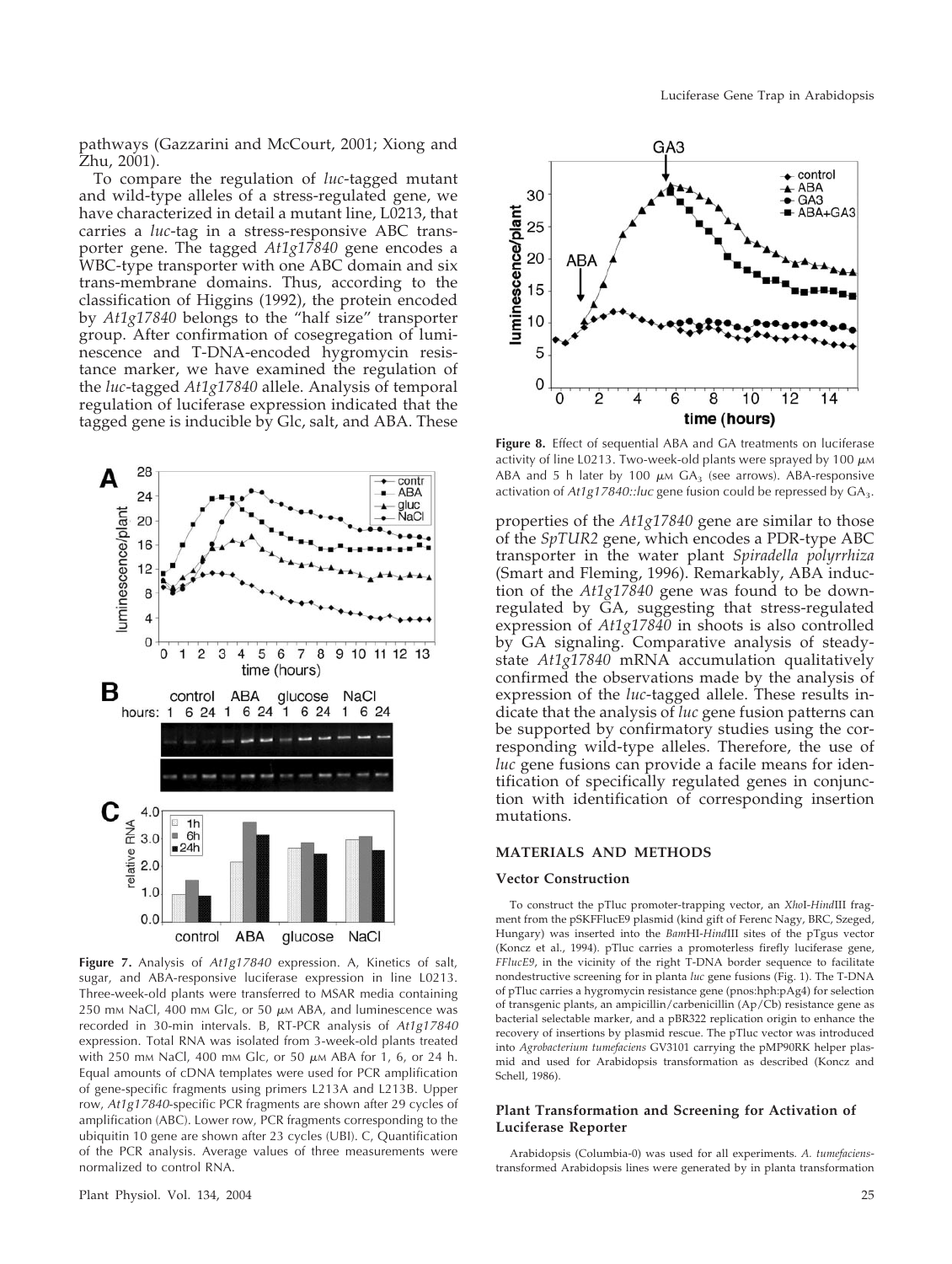To compare the regulation of *luc*-tagged mutant and wild-type alleles of a stress-regulated gene, we have characterized in detail a mutant line, L0213, that carries a *luc*-tag in a stress-responsive ABC transporter gene. The tagged *At1g17840* gene encodes a WBC-type transporter with one ABC domain and six trans-membrane domains. Thus, according to the classification of Higgins (1992), the protein encoded by *At1g17840* belongs to the "half size" transporter group. After confirmation of cosegregation of luminescence and T-DNA-encoded hygromycin resistance marker, we have examined the regulation of the *luc*-tagged *At1g17840* allele. Analysis of temporal regulation of luciferase expression indicated that the tagged gene is inducible by Glc, salt, and ABA. These



**Figure 7.** Analysis of *At1g17840* expression. A, Kinetics of salt, sugar, and ABA-responsive luciferase expression in line L0213. Three-week-old plants were transferred to MSAR media containing 250 mm NaCl, 400 mm Glc, or 50  $\mu$ m ABA, and luminescence was recorded in 30-min intervals. B, RT-PCR analysis of *At1g17840* expression. Total RNA was isolated from 3-week-old plants treated with 250 mm NaCl, 400 mm Glc, or 50  $\mu$ m ABA for 1, 6, or 24 h. Equal amounts of cDNA templates were used for PCR amplification of gene-specific fragments using primers L213A and L213B. Upper row, *At1g17840*-specific PCR fragments are shown after 29 cycles of amplification (ABC). Lower row, PCR fragments corresponding to the ubiquitin 10 gene are shown after 23 cycles (UBI). C, Quantification of the PCR analysis. Average values of three measurements were normalized to control RNA.



Figure 8. Effect of sequential ABA and GA treatments on luciferase activity of line L0213. Two-week-old plants were sprayed by 100  $\mu$ м ABA and 5 h later by 100  $\mu$ m GA<sub>3</sub> (see arrows). ABA-responsive activation of *At1g17840::luc* gene fusion could be repressed by GA<sub>3</sub>.

properties of the *At1g17840* gene are similar to those of the *SpTUR2* gene, which encodes a PDR-type ABC transporter in the water plant *Spiradella polyrrhiza* (Smart and Fleming, 1996). Remarkably, ABA induction of the *At1g17840* gene was found to be downregulated by GA, suggesting that stress-regulated expression of *At1g17840* in shoots is also controlled by GA signaling. Comparative analysis of steadystate *At1g17840* mRNA accumulation qualitatively confirmed the observations made by the analysis of expression of the *luc*-tagged allele. These results indicate that the analysis of *luc* gene fusion patterns can be supported by confirmatory studies using the corresponding wild-type alleles. Therefore, the use of *luc* gene fusions can provide a facile means for identification of specifically regulated genes in conjunction with identification of corresponding insertion mutations.

#### **MATERIALS AND METHODS**

#### **Vector Construction**

To construct the pTluc promoter-trapping vector, an *Xho*I-*Hind*III fragment from the pSKFFlucE9 plasmid (kind gift of Ferenc Nagy, BRC, Szeged, Hungary) was inserted into the *Bam*HI-*Hind*III sites of the pTgus vector (Koncz et al., 1994). pTluc carries a promoterless firefly luciferase gene, *FFlucE9*, in the vicinity of the right T-DNA border sequence to facilitate nondestructive screening for in planta *luc* gene fusions (Fig. 1). The T-DNA of pTluc carries a hygromycin resistance gene (pnos:hph:pAg4) for selection of transgenic plants, an ampicillin/carbenicillin (Ap/Cb) resistance gene as bacterial selectable marker, and a pBR322 replication origin to enhance the recovery of insertions by plasmid rescue. The pTluc vector was introduced into *Agrobacterium tumefaciens* GV3101 carrying the pMP90RK helper plasmid and used for Arabidopsis transformation as described (Koncz and Schell, 1986).

## **Plant Transformation and Screening for Activation of Luciferase Reporter**

Arabidopsis (Columbia-0) was used for all experiments. *A. tumefaciens*transformed Arabidopsis lines were generated by in planta transformation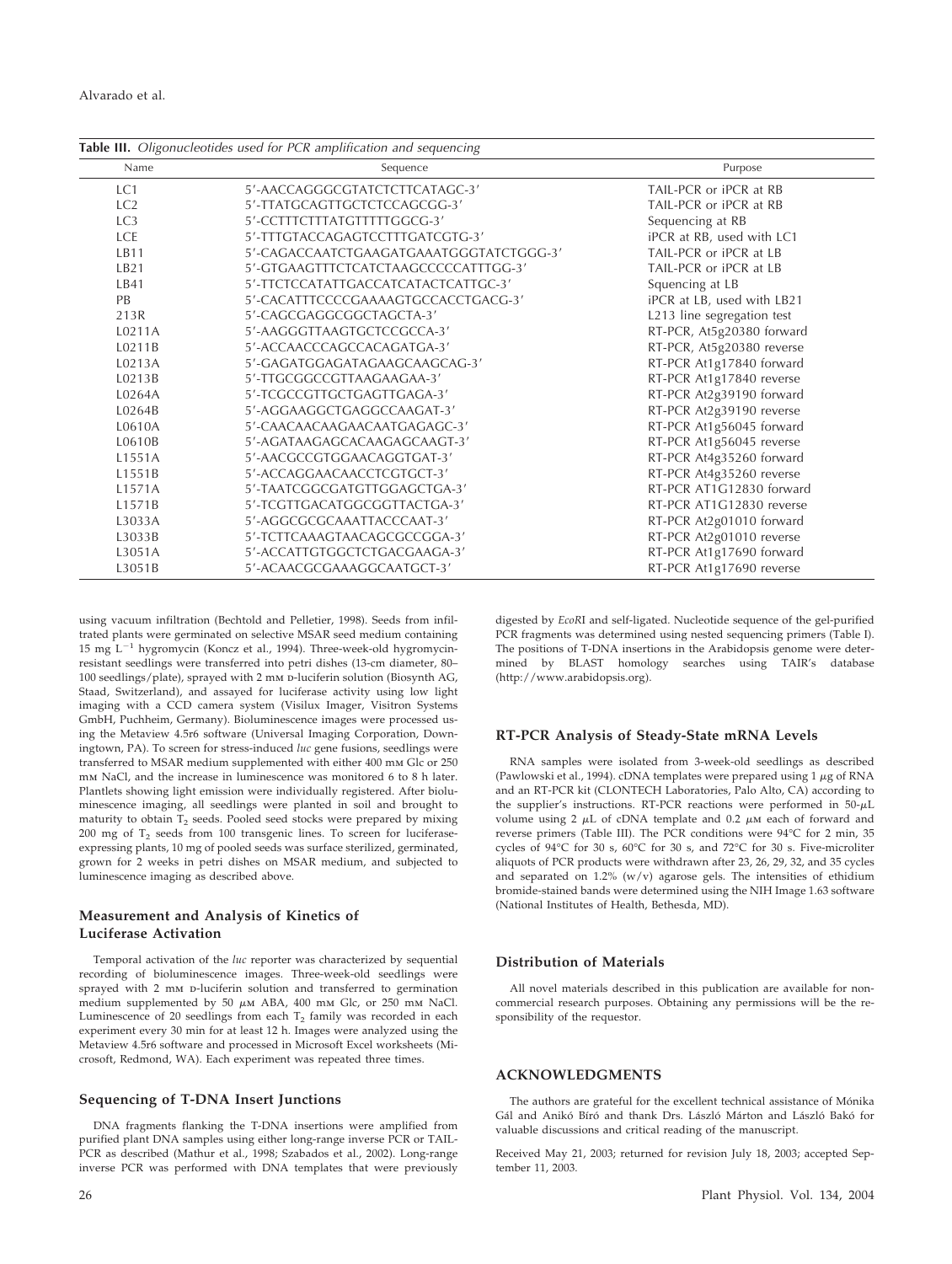| 5'-AACCAGGGCGTATCTCTTCATAGC-3'<br>TAIL-PCR or iPCR at RB<br>5'-TTATGCAGTTGCTCTCCAGCGG-3'<br>TAIL-PCR or iPCR at RB<br>5'-CCTTTCTTTATGTTTTTGGCG-3'<br>Sequencing at RB<br>5'-TTTGTACCAGAGTCCTTTGATCGTG-3'<br>iPCR at RB, used with LC1<br>5'-CAGACCAATCTGAAGATGAAATGGGTATCTGGG-3'<br>TAIL-PCR or iPCR at LB<br>5'-GTGAAGTTTCTCATCTAAGCCCCCATTTGG-3'<br>TAIL-PCR or iPCR at LB<br>5'-TTCTCCATATTGACCATCATACTCATTGC-3'<br>Squencing at LB<br>iPCR at LB, used with LB21<br>5'-CACATTTCCCCGAAAAGTGCCACCTGACG-3'<br>5'-CAGCGAGGCGGCTAGCTA-3'<br>L213 line segregation test<br>5'-AAGGGTTAAGTGCTCCGCCA-3'<br>5'-ACCAACCCAGCCACAGATGA-3'<br>RT-PCR At1g17840 forward<br>5'-GAGATGGAGATAGAAGCAAGCAG-3'<br>5'-TTGCGGCCGTTAAGAAGAA-3'<br>RT-PCR At1g17840 reverse<br>RT-PCR At2g39190 forward<br>5'-TCGCCGTTGCTGAGTTGAGA-3'<br>RT-PCR At2g39190 reverse<br>5'-AGGAAGGCTGAGGCCAAGAT-3'<br>5'-CAACAACAAGAACAATGAGAGC-3'<br>RT-PCR At1g56045 forward<br>RT-PCR At1g56045 reverse<br>5'-AGATAAGAGCACAAGAGCAAGT-3'<br>5'-AACGCCGTGGAACAGGTGAT-3'<br>RT-PCR At4g35260 reverse<br>5'-ACCAGGAACAACCTCGTGCT-3'<br>5'-TAATCGGCGATGTTGGAGCTGA-3'<br>5'-TCGTTGACATGGCGGTTACTGA-3'<br>5'-AGGCGCGCAAATTACCCAAT-3'<br>5'-TCTTCAAAGTAACAGCGCCGGA-3'<br>RT-PCR At2g01010 reverse<br>RT-PCR At1g17690 forward<br>5'-ACCATTGTGGCTCTGACGAAGA-3'<br>RT-PCR At1g17690 reverse<br>5'-ACAACGCGAAAGGCAATGCT-3' | Name | Sequence | Purpose                   |
|-----------------------------------------------------------------------------------------------------------------------------------------------------------------------------------------------------------------------------------------------------------------------------------------------------------------------------------------------------------------------------------------------------------------------------------------------------------------------------------------------------------------------------------------------------------------------------------------------------------------------------------------------------------------------------------------------------------------------------------------------------------------------------------------------------------------------------------------------------------------------------------------------------------------------------------------------------------------------------------------------------------------------------------------------------------------------------------------------------------------------------------------------------------------------------------------------------------------------------------------------------------------------------------------------------------------------------------------------------------------------------|------|----------|---------------------------|
| LC <sub>2</sub><br>LC <sub>3</sub><br><b>LCE</b><br>LB11<br>LB21<br>LB41<br><b>PB</b><br>213R<br>L0211A<br>L0211B<br>L0213A<br>L0213B<br>L0264A<br>L0264B<br>L0610A<br>L0610B<br>L1551A<br>L1551B<br>L1571A<br>L1571B<br>L3033A<br>L3033B<br>L3051A<br>L3051B                                                                                                                                                                                                                                                                                                                                                                                                                                                                                                                                                                                                                                                                                                                                                                                                                                                                                                                                                                                                                                                                                                               | LC1  |          |                           |
|                                                                                                                                                                                                                                                                                                                                                                                                                                                                                                                                                                                                                                                                                                                                                                                                                                                                                                                                                                                                                                                                                                                                                                                                                                                                                                                                                                             |      |          |                           |
|                                                                                                                                                                                                                                                                                                                                                                                                                                                                                                                                                                                                                                                                                                                                                                                                                                                                                                                                                                                                                                                                                                                                                                                                                                                                                                                                                                             |      |          |                           |
|                                                                                                                                                                                                                                                                                                                                                                                                                                                                                                                                                                                                                                                                                                                                                                                                                                                                                                                                                                                                                                                                                                                                                                                                                                                                                                                                                                             |      |          |                           |
|                                                                                                                                                                                                                                                                                                                                                                                                                                                                                                                                                                                                                                                                                                                                                                                                                                                                                                                                                                                                                                                                                                                                                                                                                                                                                                                                                                             |      |          |                           |
|                                                                                                                                                                                                                                                                                                                                                                                                                                                                                                                                                                                                                                                                                                                                                                                                                                                                                                                                                                                                                                                                                                                                                                                                                                                                                                                                                                             |      |          |                           |
|                                                                                                                                                                                                                                                                                                                                                                                                                                                                                                                                                                                                                                                                                                                                                                                                                                                                                                                                                                                                                                                                                                                                                                                                                                                                                                                                                                             |      |          |                           |
|                                                                                                                                                                                                                                                                                                                                                                                                                                                                                                                                                                                                                                                                                                                                                                                                                                                                                                                                                                                                                                                                                                                                                                                                                                                                                                                                                                             |      |          |                           |
|                                                                                                                                                                                                                                                                                                                                                                                                                                                                                                                                                                                                                                                                                                                                                                                                                                                                                                                                                                                                                                                                                                                                                                                                                                                                                                                                                                             |      |          |                           |
|                                                                                                                                                                                                                                                                                                                                                                                                                                                                                                                                                                                                                                                                                                                                                                                                                                                                                                                                                                                                                                                                                                                                                                                                                                                                                                                                                                             |      |          | RT-PCR, At5g20380 forward |
|                                                                                                                                                                                                                                                                                                                                                                                                                                                                                                                                                                                                                                                                                                                                                                                                                                                                                                                                                                                                                                                                                                                                                                                                                                                                                                                                                                             |      |          | RT-PCR, At5g20380 reverse |
|                                                                                                                                                                                                                                                                                                                                                                                                                                                                                                                                                                                                                                                                                                                                                                                                                                                                                                                                                                                                                                                                                                                                                                                                                                                                                                                                                                             |      |          |                           |
|                                                                                                                                                                                                                                                                                                                                                                                                                                                                                                                                                                                                                                                                                                                                                                                                                                                                                                                                                                                                                                                                                                                                                                                                                                                                                                                                                                             |      |          |                           |
|                                                                                                                                                                                                                                                                                                                                                                                                                                                                                                                                                                                                                                                                                                                                                                                                                                                                                                                                                                                                                                                                                                                                                                                                                                                                                                                                                                             |      |          |                           |
|                                                                                                                                                                                                                                                                                                                                                                                                                                                                                                                                                                                                                                                                                                                                                                                                                                                                                                                                                                                                                                                                                                                                                                                                                                                                                                                                                                             |      |          |                           |
|                                                                                                                                                                                                                                                                                                                                                                                                                                                                                                                                                                                                                                                                                                                                                                                                                                                                                                                                                                                                                                                                                                                                                                                                                                                                                                                                                                             |      |          |                           |
|                                                                                                                                                                                                                                                                                                                                                                                                                                                                                                                                                                                                                                                                                                                                                                                                                                                                                                                                                                                                                                                                                                                                                                                                                                                                                                                                                                             |      |          |                           |
|                                                                                                                                                                                                                                                                                                                                                                                                                                                                                                                                                                                                                                                                                                                                                                                                                                                                                                                                                                                                                                                                                                                                                                                                                                                                                                                                                                             |      |          | RT-PCR At4g35260 forward  |
|                                                                                                                                                                                                                                                                                                                                                                                                                                                                                                                                                                                                                                                                                                                                                                                                                                                                                                                                                                                                                                                                                                                                                                                                                                                                                                                                                                             |      |          |                           |
|                                                                                                                                                                                                                                                                                                                                                                                                                                                                                                                                                                                                                                                                                                                                                                                                                                                                                                                                                                                                                                                                                                                                                                                                                                                                                                                                                                             |      |          | RT-PCR AT1G12830 forward  |
|                                                                                                                                                                                                                                                                                                                                                                                                                                                                                                                                                                                                                                                                                                                                                                                                                                                                                                                                                                                                                                                                                                                                                                                                                                                                                                                                                                             |      |          | RT-PCR AT1G12830 reverse  |
|                                                                                                                                                                                                                                                                                                                                                                                                                                                                                                                                                                                                                                                                                                                                                                                                                                                                                                                                                                                                                                                                                                                                                                                                                                                                                                                                                                             |      |          | RT-PCR At2g01010 forward  |
|                                                                                                                                                                                                                                                                                                                                                                                                                                                                                                                                                                                                                                                                                                                                                                                                                                                                                                                                                                                                                                                                                                                                                                                                                                                                                                                                                                             |      |          |                           |
|                                                                                                                                                                                                                                                                                                                                                                                                                                                                                                                                                                                                                                                                                                                                                                                                                                                                                                                                                                                                                                                                                                                                                                                                                                                                                                                                                                             |      |          |                           |
|                                                                                                                                                                                                                                                                                                                                                                                                                                                                                                                                                                                                                                                                                                                                                                                                                                                                                                                                                                                                                                                                                                                                                                                                                                                                                                                                                                             |      |          |                           |

using vacuum infiltration (Bechtold and Pelletier, 1998). Seeds from infiltrated plants were germinated on selective MSAR seed medium containing 15 mg  $L^{-1}$  hygromycin (Koncz et al., 1994). Three-week-old hygromycinresistant seedlings were transferred into petri dishes (13-cm diameter, 80– 100 seedlings/plate), sprayed with 2 mm p-luciferin solution (Biosynth AG, Staad, Switzerland), and assayed for luciferase activity using low light imaging with a CCD camera system (Visilux Imager, Visitron Systems GmbH, Puchheim, Germany). Bioluminescence images were processed using the Metaview 4.5r6 software (Universal Imaging Corporation, Downingtown, PA). To screen for stress-induced *luc* gene fusions, seedlings were transferred to MSAR medium supplemented with either 400 mm Glc or 250 mm NaCl, and the increase in luminescence was monitored 6 to 8 h later. Plantlets showing light emission were individually registered. After bioluminescence imaging, all seedlings were planted in soil and brought to maturity to obtain  $\widetilde{T}_2$  seeds. Pooled seed stocks were prepared by mixing  $200$  mg of  $T<sub>2</sub>$  seeds from  $100$  transgenic lines. To screen for luciferaseexpressing plants, 10 mg of pooled seeds was surface sterilized, germinated, grown for 2 weeks in petri dishes on MSAR medium, and subjected to luminescence imaging as described above.

## **Measurement and Analysis of Kinetics of Luciferase Activation**

Temporal activation of the *luc* reporter was characterized by sequential recording of bioluminescence images. Three-week-old seedlings were sprayed with 2 mm p-luciferin solution and transferred to germination medium supplemented by 50  $\mu$ м ABA, 400 mм Glc, or 250 mм NaCl. Luminescence of 20 seedlings from each  $T_2$  family was recorded in each experiment every 30 min for at least 12 h. Images were analyzed using the Metaview 4.5r6 software and processed in Microsoft Excel worksheets (Microsoft, Redmond, WA). Each experiment was repeated three times.

#### **Sequencing of T-DNA Insert Junctions**

DNA fragments flanking the T-DNA insertions were amplified from purified plant DNA samples using either long-range inverse PCR or TAIL-PCR as described (Mathur et al., 1998; Szabados et al., 2002). Long-range inverse PCR was performed with DNA templates that were previously

digested by *EcoR*I and self-ligated. Nucleotide sequence of the gel-purified PCR fragments was determined using nested sequencing primers (Table I). The positions of T-DNA insertions in the Arabidopsis genome were determined by BLAST homology searches using TAIR's database (http://www.arabidopsis.org).

#### **RT-PCR Analysis of Steady-State mRNA Levels**

RNA samples were isolated from 3-week-old seedlings as described (Pawlowski et al., 1994). cDNA templates were prepared using  $1 \mu$ g of RNA and an RT-PCR kit (CLONTECH Laboratories, Palo Alto, CA) according to the supplier's instructions. RT-PCR reactions were performed in 50- $\mu\rm L$ volume using 2  $\rm \mu L$  of cDNA template and 0.2  $\rm \mu m$  each of forward and reverse primers (Table III). The PCR conditions were 94°C for 2 min, 35 cycles of 94°C for 30 s, 60°C for 30 s, and 72°C for 30 s. Five-microliter aliquots of PCR products were withdrawn after 23, 26, 29, 32, and 35 cycles and separated on 1.2% (w/v) agarose gels. The intensities of ethidium bromide-stained bands were determined using the NIH Image 1.63 software (National Institutes of Health, Bethesda, MD).

#### **Distribution of Materials**

All novel materials described in this publication are available for noncommercial research purposes. Obtaining any permissions will be the responsibility of the requestor.

## **ACKNOWLEDGMENTS**

The authors are grateful for the excellent technical assistance of Mónika Gál and Anikó Bíró and thank Drs. László Márton and László Bakó for valuable discussions and critical reading of the manuscript.

Received May 21, 2003; returned for revision July 18, 2003; accepted September 11, 2003.